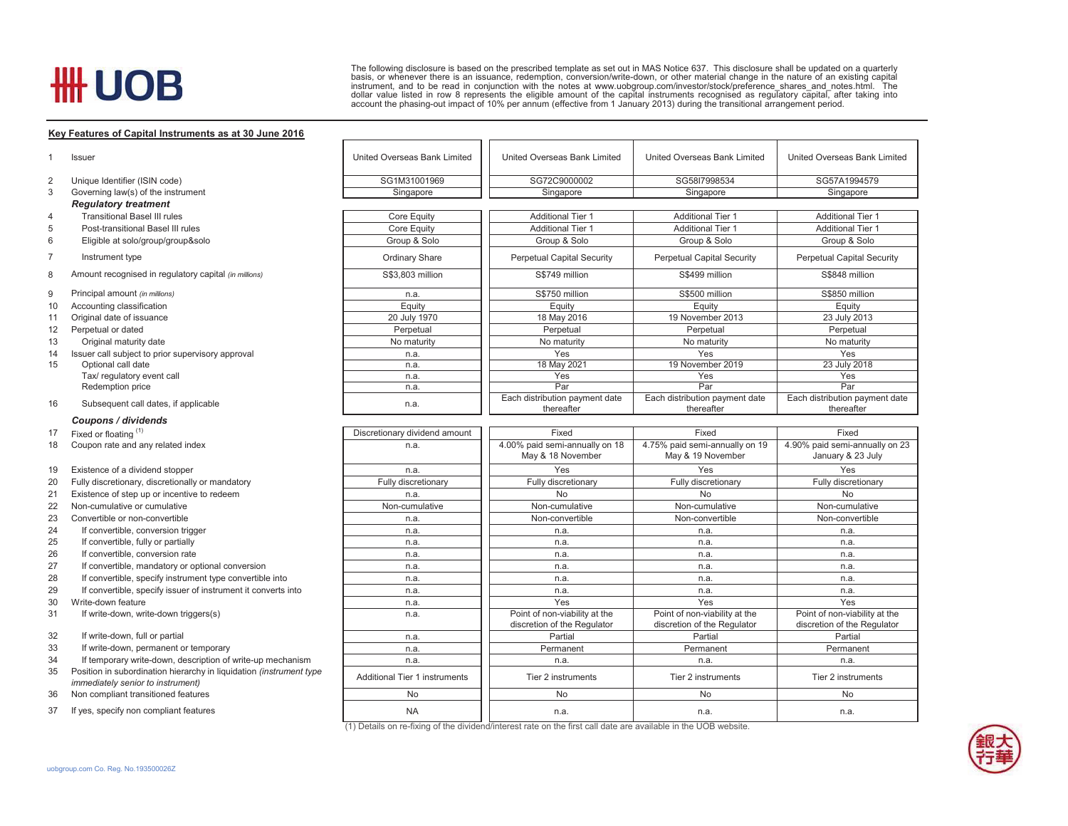## **HH UOB**

The following disclosure is based on the prescribed template as set out in MAS Notice 637. This disclosure shall be updated on a quarterly<br>basis, or whenever there is an issuance, redemption, conversion/write-down, or othe account the phasing-out impact of 10% per annum (effective from 1 January 2013) during the transitional arrangement period.

## **Key Features of Capital Instruments as at 30 June 2016**

|                | Issuer                                                                                                   | United Overseas Bank Limited  | United Overseas Bank Limited                                                                                    | United Overseas Bank Limited                                 | United Overseas Bank Limited                                 |  |  |  |
|----------------|----------------------------------------------------------------------------------------------------------|-------------------------------|-----------------------------------------------------------------------------------------------------------------|--------------------------------------------------------------|--------------------------------------------------------------|--|--|--|
| 2              | Unique Identifier (ISIN code)                                                                            | SG1M31001969                  | SG72C9000002                                                                                                    | SG58I7998534                                                 | SG57A1994579                                                 |  |  |  |
| 3              | Governing law(s) of the instrument                                                                       | Singapore                     | Singapore                                                                                                       | Singapore                                                    | Singapore                                                    |  |  |  |
|                | <b>Regulatory treatment</b>                                                                              |                               |                                                                                                                 |                                                              |                                                              |  |  |  |
| $\overline{4}$ | <b>Transitional Basel III rules</b>                                                                      | Core Equity                   | <b>Additional Tier 1</b>                                                                                        | <b>Additional Tier 1</b>                                     | <b>Additional Tier 1</b>                                     |  |  |  |
| 5              | Post-transitional Basel III rules                                                                        | Core Equity                   | <b>Additional Tier 1</b>                                                                                        | <b>Additional Tier 1</b>                                     | <b>Additional Tier 1</b>                                     |  |  |  |
| 6              | Eligible at solo/group/group&solo                                                                        | Group & Solo                  | Group & Solo                                                                                                    | Group & Solo                                                 | Group & Solo                                                 |  |  |  |
| $\overline{7}$ | Instrument type                                                                                          | Ordinary Share                | <b>Perpetual Capital Security</b>                                                                               | <b>Perpetual Capital Security</b>                            | <b>Perpetual Capital Security</b>                            |  |  |  |
| 8              | Amount recognised in regulatory capital (in millions)                                                    | S\$3,803 million              | S\$749 million                                                                                                  | S\$499 million                                               | S\$848 million                                               |  |  |  |
| 9              | Principal amount (in millions)                                                                           | n.a.                          | S\$750 million                                                                                                  | S\$500 million                                               | S\$850 million                                               |  |  |  |
| 10             | Accounting classification                                                                                | Equity                        | Equity                                                                                                          | Equity                                                       | Equity                                                       |  |  |  |
| 11             | Original date of issuance                                                                                | 20 July 1970                  | 18 May 2016                                                                                                     | 19 November 2013                                             | 23 July 2013                                                 |  |  |  |
| 12             | Perpetual or dated                                                                                       | Perpetual                     | Perpetual                                                                                                       | Perpetual                                                    | Perpetual                                                    |  |  |  |
| 13             | Original maturity date                                                                                   | No maturity                   | No maturity                                                                                                     | No maturity                                                  | No maturity                                                  |  |  |  |
| 14             | Issuer call subject to prior supervisory approval                                                        | n.a.                          | Yes                                                                                                             | Yes                                                          | Yes                                                          |  |  |  |
| 15             | Optional call date                                                                                       | n.a.                          | 18 May 2021                                                                                                     | 19 November 2019                                             | 23 July 2018                                                 |  |  |  |
|                | Tax/ regulatory event call                                                                               | n.a.                          | Yes                                                                                                             | Yes                                                          | Yes                                                          |  |  |  |
|                | Redemption price                                                                                         | n.a.                          | Par                                                                                                             | Par                                                          | Par                                                          |  |  |  |
| 16             | Subsequent call dates, if applicable                                                                     | n.a.                          | Each distribution payment date<br>thereafter                                                                    | Each distribution payment date<br>thereafter                 | Each distribution payment date<br>thereafter                 |  |  |  |
|                | Coupons / dividends                                                                                      |                               |                                                                                                                 |                                                              |                                                              |  |  |  |
| 17             | Fixed or floating (1)                                                                                    | Discretionary dividend amount | Fixed                                                                                                           | Fixed                                                        | Fixed                                                        |  |  |  |
| 18             | Coupon rate and any related index                                                                        | n.a.                          | 4.00% paid semi-annually on 18                                                                                  | 4.75% paid semi-annually on 19                               | 4.90% paid semi-annually on 23                               |  |  |  |
|                |                                                                                                          |                               | May & 18 November                                                                                               | May & 19 November                                            | January & 23 July                                            |  |  |  |
| 19             | Existence of a dividend stopper                                                                          | n.a.                          | Yes                                                                                                             | Yes                                                          | Yes                                                          |  |  |  |
| 20             | Fully discretionary, discretionally or mandatory                                                         | Fully discretionary           | Fully discretionary                                                                                             | Fully discretionary                                          | Fully discretionary                                          |  |  |  |
| 21             | Existence of step up or incentive to redeem                                                              | n.a.                          | <b>No</b>                                                                                                       | <b>No</b>                                                    | <b>No</b>                                                    |  |  |  |
| 22             | Non-cumulative or cumulative                                                                             | Non-cumulative                | Non-cumulative                                                                                                  | Non-cumulative                                               | Non-cumulative                                               |  |  |  |
| 23             | Convertible or non-convertible                                                                           | n.a.                          | Non-convertible                                                                                                 | Non-convertible                                              | Non-convertible                                              |  |  |  |
| 24             | If convertible, conversion trigger                                                                       | n.a.                          | n.a.                                                                                                            | n.a.                                                         | n.a.                                                         |  |  |  |
| 25             | If convertible, fully or partially                                                                       | n.a.                          | n.a.                                                                                                            | n.a.                                                         | n.a.                                                         |  |  |  |
| 26             | If convertible, conversion rate                                                                          | n.a.                          | n.a.                                                                                                            | n.a.                                                         | n.a.                                                         |  |  |  |
| 27             | If convertible, mandatory or optional conversion                                                         | n.a.                          | n.a.                                                                                                            | n.a.                                                         | n.a.                                                         |  |  |  |
| 28             | If convertible, specify instrument type convertible into                                                 | n.a.                          | n.a.                                                                                                            | n.a.                                                         | n.a.                                                         |  |  |  |
| 29             | If convertible, specify issuer of instrument it converts into                                            | n.a.                          | n.a.                                                                                                            | n.a.                                                         | n.a.                                                         |  |  |  |
| 30             | Write-down feature                                                                                       | n.a.                          | Yes                                                                                                             | Yes                                                          | Yes                                                          |  |  |  |
| 31             | If write-down, write-down triggers(s)                                                                    | n.a.                          | Point of non-viability at the<br>discretion of the Regulator                                                    | Point of non-viability at the<br>discretion of the Regulator | Point of non-viability at the<br>discretion of the Regulator |  |  |  |
| 32             | If write-down, full or partial                                                                           | n.a.                          | Partial                                                                                                         | Partial                                                      | Partial                                                      |  |  |  |
| 33             | If write-down, permanent or temporary                                                                    | n.a.                          | Permanent                                                                                                       | Permanent                                                    | Permanent                                                    |  |  |  |
| 34             | If temporary write-down, description of write-up mechanism                                               | n.a.                          | n.a                                                                                                             | n.a.                                                         | n.a.                                                         |  |  |  |
| 35             | Position in subordination hierarchy in liquidation (instrument type<br>immediately senior to instrument) | Additional Tier 1 instruments | Tier 2 instruments                                                                                              | Tier 2 instruments                                           | Tier 2 instruments                                           |  |  |  |
| 36             | Non compliant transitioned features                                                                      | No                            | No                                                                                                              | <b>No</b>                                                    | No                                                           |  |  |  |
| 37             | If yes, specify non compliant features                                                                   | <b>NA</b>                     | n.a.                                                                                                            | n.a.                                                         | n.a.                                                         |  |  |  |
|                |                                                                                                          |                               | (1) Details on re-fixing of the dividend/interest rate on the first call date are available in the UOB website. |                                                              |                                                              |  |  |  |